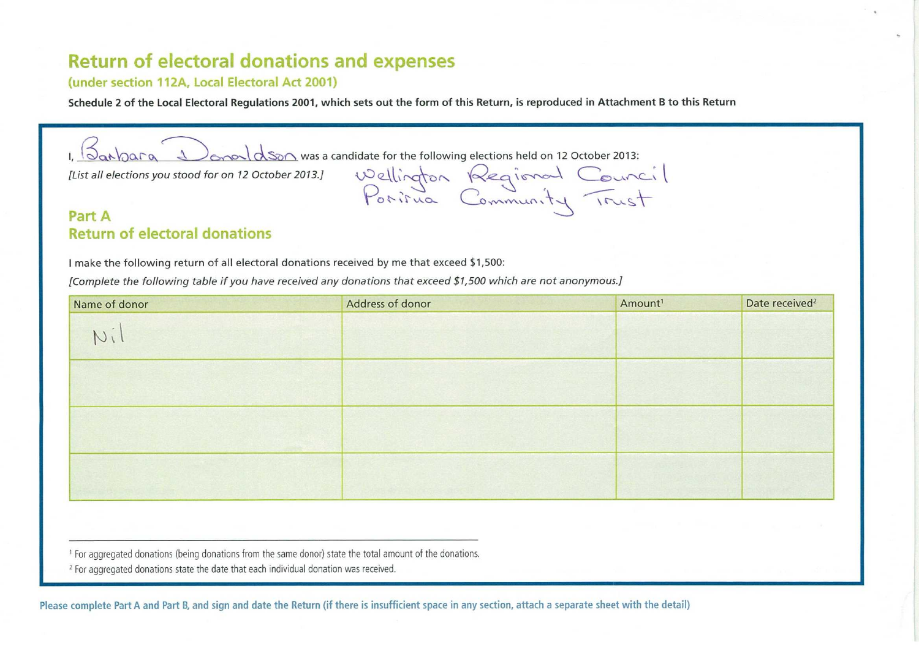# **Return of electoral donations and expenses**

#### **(under section 112A, Local Electoral Act 2001)**

**Schedule 2 of the Local Electoral Regulations 2001, which sets out the form of this Return, is reproduced in Attachment B to this Return** 

 $\sqrt{2a\lambda}$  and  $\sqrt{2a\lambda}$  on  $\sqrt{2a\lambda}$  was a candidate for the following elections held on 12 October 2013:

Porirua Commun

List all elections you stood for on 12 October 2013.] Wellington  $\sqrt{\alpha}e$  a ismall Counce

### **Part A Return of electoral donations**

**<sup>I</sup>**make the following return of all electoral donations received by me that exceed \$1,500:

*[Complete the following table if you have received any donations that exceed \$1,500 which are not anonymous.]* 

| Name of donor | Address of donor | Amount <sup>1</sup> | Date received <sup>2</sup> |
|---------------|------------------|---------------------|----------------------------|
| Ni            |                  |                     |                            |
|               |                  |                     |                            |
|               |                  |                     |                            |
|               |                  |                     |                            |

' For aggregated donations (being donations from the same donor) state the total amount of the donations.

<sup>2</sup> For aggregated donations state the date that each individual donation was received.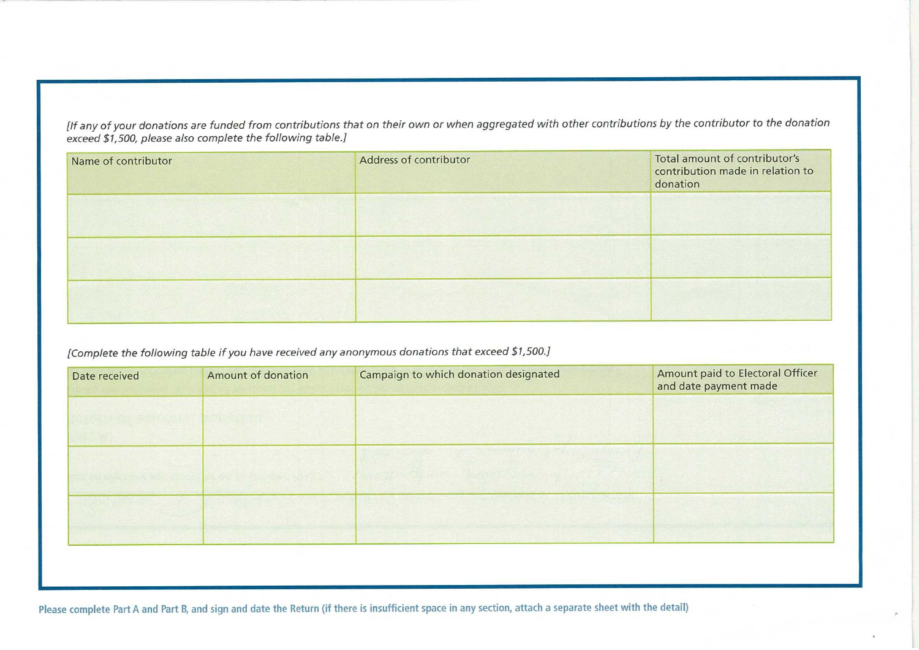*[If any of your donations are funded from contributions that on their own or when aggregated with other contributions by the contributor* to *the donation exceed \$1,500, please also complete the following table.]* 

| Name of contributor | Total amount of contributor's<br>Address of contributor<br>contribution made in relation to<br>donation |  |
|---------------------|---------------------------------------------------------------------------------------------------------|--|
|                     |                                                                                                         |  |
|                     |                                                                                                         |  |
|                     |                                                                                                         |  |

## *[Complete the following table if you have received any anonymous donations that exceed \$1,500.]*

| Date received | Amount of donation | Campaign to which donation designated | Amount paid to Electoral Officer<br>and date payment made |
|---------------|--------------------|---------------------------------------|-----------------------------------------------------------|
|               |                    |                                       |                                                           |
|               |                    |                                       |                                                           |
|               |                    |                                       |                                                           |
|               |                    |                                       |                                                           |
|               |                    |                                       |                                                           |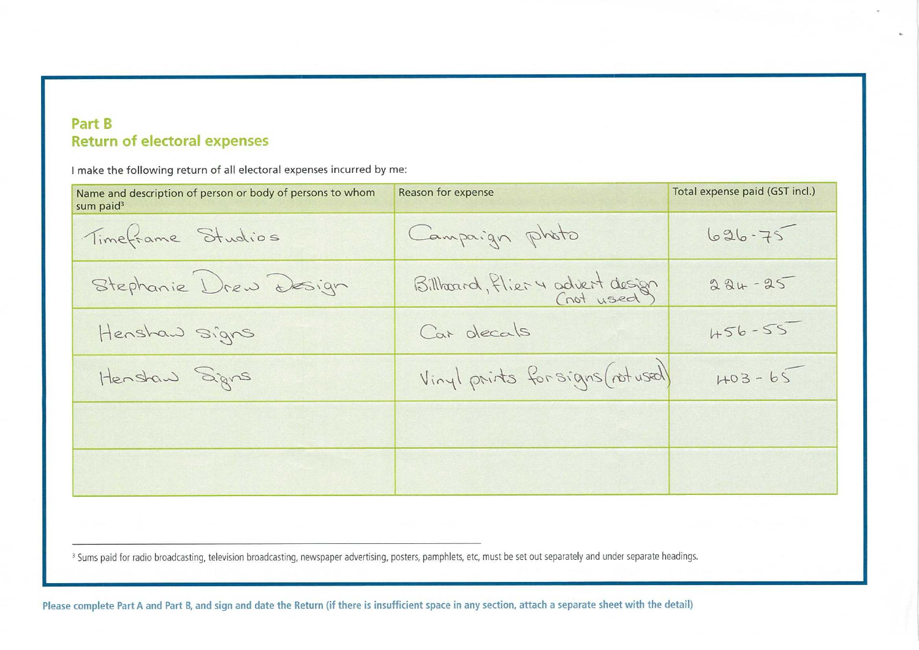## **Part B Return of electoral expenses**

I make the following return of all electoral expenses incurred by me:

| Name and description of person or body of persons to whom<br>sum paid <sup>3</sup> | Reason for expense               | Total expense paid (GST incl.) |
|------------------------------------------------------------------------------------|----------------------------------|--------------------------------|
| Timeframe Studios                                                                  | Campaign photo                   | $626 - 75$                     |
| Stephanie Drew Design                                                              | Billboard, flier 4 advert design | 224-25                         |
| Henshaw signs                                                                      | Car decals                       | $456 - 55$                     |
| Henstaw Signs                                                                      | Vinyl prints forsigns (not used) | $403 - 65$                     |
|                                                                                    |                                  |                                |
|                                                                                    |                                  |                                |

<sup>3</sup> Sums paid for radio broadcasting, television broadcasting, newspaper advertising, posters, pamphlets, etc, must be set out separately and under separate headings.